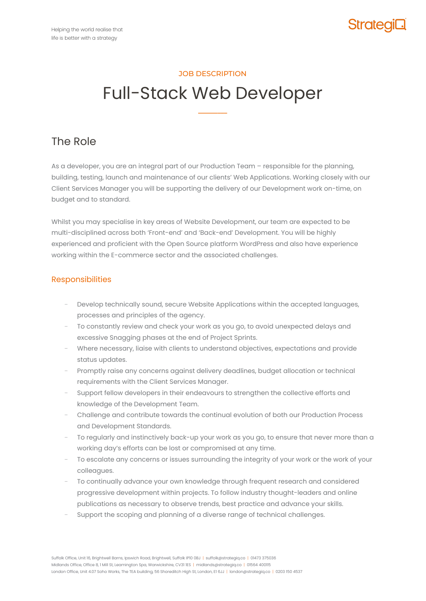

# JOB DESCRIPTION

# Full-Stack Web Developer

**–––––––––**

# The Role

As a developer, you are an integral part of our Production Team – responsible for the planning, building, testing, launch and maintenance of our clients' Web Applications. Working closely with our Client Services Manager you will be supporting the delivery of our Development work on-time, on budget and to standard.

Whilst you may specialise in key areas of Website Development, our team are expected to be multi-disciplined across both 'Front-end' and 'Back-end' Development. You will be highly experienced and proficient with the Open Source platform WordPress and also have experience working within the E-commerce sector and the associated challenges.

## Responsibilities

- Develop technically sound, secure Website Applications within the accepted languages, processes and principles of the agency.
- − To constantly review and check your work as you go, to avoid unexpected delays and excessive Snagging phases at the end of Project Sprints.
- Where necessary, liaise with clients to understand objectives, expectations and provide status updates.
- Promptly raise any concerns against delivery deadlines, budget allocation or technical requirements with the Client Services Manager.
- Support fellow developers in their endeavours to strengthen the collective efforts and knowledge of the Development Team.
- − Challenge and contribute towards the continual evolution of both our Production Process and Development Standards.
- To regularly and instinctively back-up your work as you go, to ensure that never more than a working day's efforts can be lost or compromised at any time.
- To escalate any concerns or issues surrounding the integrity of your work or the work of your colleagues.
- To continually advance your own knowledge through frequent research and considered progressive development within projects. To follow industry thought-leaders and online publications as necessary to observe trends, best practice and advance your skills.
- Support the scoping and planning of a diverse range of technical challenges.